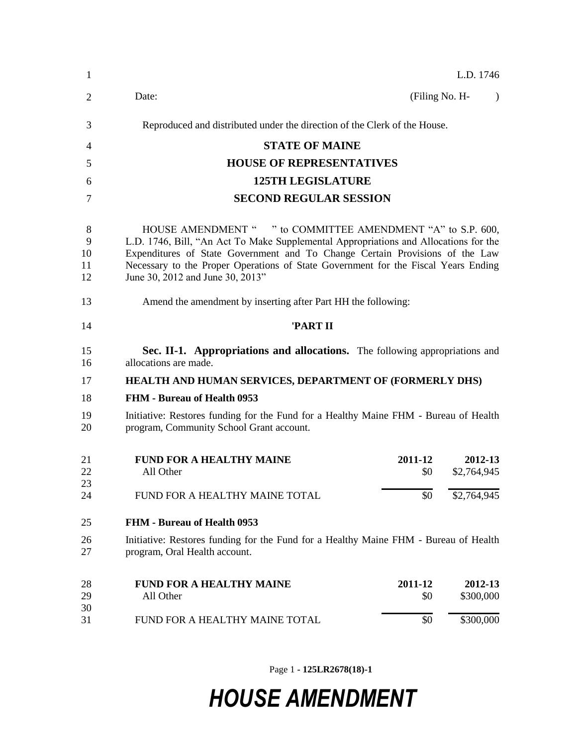| 1                        | L.D. 1746                                                                                                                                                                                                                                                                                                                                                     |  |  |
|--------------------------|---------------------------------------------------------------------------------------------------------------------------------------------------------------------------------------------------------------------------------------------------------------------------------------------------------------------------------------------------------------|--|--|
| 2                        | Date:<br>(Filing No. H-<br>$\lambda$                                                                                                                                                                                                                                                                                                                          |  |  |
| 3                        | Reproduced and distributed under the direction of the Clerk of the House.                                                                                                                                                                                                                                                                                     |  |  |
| 4                        | <b>STATE OF MAINE</b>                                                                                                                                                                                                                                                                                                                                         |  |  |
| 5                        | <b>HOUSE OF REPRESENTATIVES</b>                                                                                                                                                                                                                                                                                                                               |  |  |
| 6                        | <b>125TH LEGISLATURE</b>                                                                                                                                                                                                                                                                                                                                      |  |  |
| 7                        | <b>SECOND REGULAR SESSION</b>                                                                                                                                                                                                                                                                                                                                 |  |  |
| 8<br>9<br>10<br>11<br>12 | HOUSE AMENDMENT " " to COMMITTEE AMENDMENT "A" to S.P. 600,<br>L.D. 1746, Bill, "An Act To Make Supplemental Appropriations and Allocations for the<br>Expenditures of State Government and To Change Certain Provisions of the Law<br>Necessary to the Proper Operations of State Government for the Fiscal Years Ending<br>June 30, 2012 and June 30, 2013" |  |  |
| 13                       | Amend the amendment by inserting after Part HH the following:                                                                                                                                                                                                                                                                                                 |  |  |
| 14                       | 'PART II                                                                                                                                                                                                                                                                                                                                                      |  |  |
| 15<br>16                 | Sec. II-1. Appropriations and allocations. The following appropriations and<br>allocations are made.                                                                                                                                                                                                                                                          |  |  |
| 17                       | HEALTH AND HUMAN SERVICES, DEPARTMENT OF (FORMERLY DHS)                                                                                                                                                                                                                                                                                                       |  |  |
| 18                       | <b>FHM - Bureau of Health 0953</b>                                                                                                                                                                                                                                                                                                                            |  |  |
| 19<br>20                 | Initiative: Restores funding for the Fund for a Healthy Maine FHM - Bureau of Health<br>program, Community School Grant account.                                                                                                                                                                                                                              |  |  |
| 21<br>22<br>23           | <b>FUND FOR A HEALTHY MAINE</b><br>2011-12<br>2012-13<br>\$2,764,945<br>All Other<br>\$0                                                                                                                                                                                                                                                                      |  |  |
| 24                       | FUND FOR A HEALTHY MAINE TOTAL<br>\$0<br>\$2,764,945                                                                                                                                                                                                                                                                                                          |  |  |
| 25                       | <b>FHM - Bureau of Health 0953</b>                                                                                                                                                                                                                                                                                                                            |  |  |
| 26<br>27                 | Initiative: Restores funding for the Fund for a Healthy Maine FHM - Bureau of Health<br>program, Oral Health account.                                                                                                                                                                                                                                         |  |  |
| 28<br>29<br>30           | <b>FUND FOR A HEALTHY MAINE</b><br>2011-12<br>2012-13<br>\$300,000<br>All Other<br>\$0                                                                                                                                                                                                                                                                        |  |  |
| 31                       | \$0<br>\$300,000<br>FUND FOR A HEALTHY MAINE TOTAL                                                                                                                                                                                                                                                                                                            |  |  |

Page 1 **- 125LR2678(18)-1**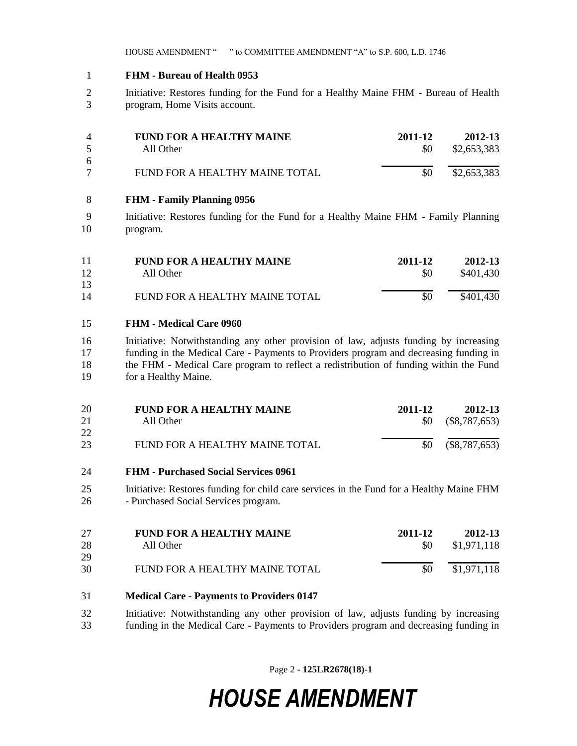#### **FHM - Bureau of Health 0953**

 Initiative: Restores funding for the Fund for a Healthy Maine FHM - Bureau of Health program, Home Visits account.

|        | <b>FUND FOR A HEALTHY MAINE</b> | 2011-12   | 2012-13     |
|--------|---------------------------------|-----------|-------------|
| $\sim$ | All Other                       | <b>SO</b> | \$2,653,383 |
| -6     |                                 |           |             |
|        | FUND FOR A HEALTHY MAINE TOTAL  | \$0       | \$2,653,383 |
|        |                                 |           |             |

#### **FHM - Family Planning 0956**

 Initiative: Restores funding for the Fund for a Healthy Maine FHM - Family Planning program.

| 11 | <b>FUND FOR A HEALTHY MAINE</b> | 2011-12   | 2012-13   |
|----|---------------------------------|-----------|-----------|
| 12 | All Other                       | <b>SO</b> | \$401.430 |
| 13 |                                 |           |           |
| 14 | FUND FOR A HEALTHY MAINE TOTAL  | \$0       | \$401,430 |

### **FHM - Medical Care 0960**

 Initiative: Notwithstanding any other provision of law, adjusts funding by increasing funding in the Medical Care - Payments to Providers program and decreasing funding in the FHM - Medical Care program to reflect a redistribution of funding within the Fund for a Healthy Maine.

| 20 | <b>FUND FOR A HEALTHY MAINE</b> | 2011-12 | 2012-13                 |
|----|---------------------------------|---------|-------------------------|
| 21 | All Other                       |         | $$0 \quad ($8,787,653)$ |
| 22 |                                 |         |                         |
| 23 | FUND FOR A HEALTHY MAINE TOTAL  |         | $$0 \quad ($8,787,653)$ |

- **FHM - Purchased Social Services 0961**
- Initiative: Restores funding for child care services in the Fund for a Healthy Maine FHM - Purchased Social Services program.

| 27<br>28 | <b>FUND FOR A HEALTHY MAINE</b><br>All Other | 2011-12<br><b>SO</b> | 2012-13<br>\$1,971,118 |
|----------|----------------------------------------------|----------------------|------------------------|
| 29       |                                              |                      |                        |
| 30       | FUND FOR A HEALTHY MAINE TOTAL               | \$0                  | \$1,971,118            |

- **Medical Care - Payments to Providers 0147**
- Initiative: Notwithstanding any other provision of law, adjusts funding by increasing funding in the Medical Care - Payments to Providers program and decreasing funding in

Page 2 **- 125LR2678(18)-1**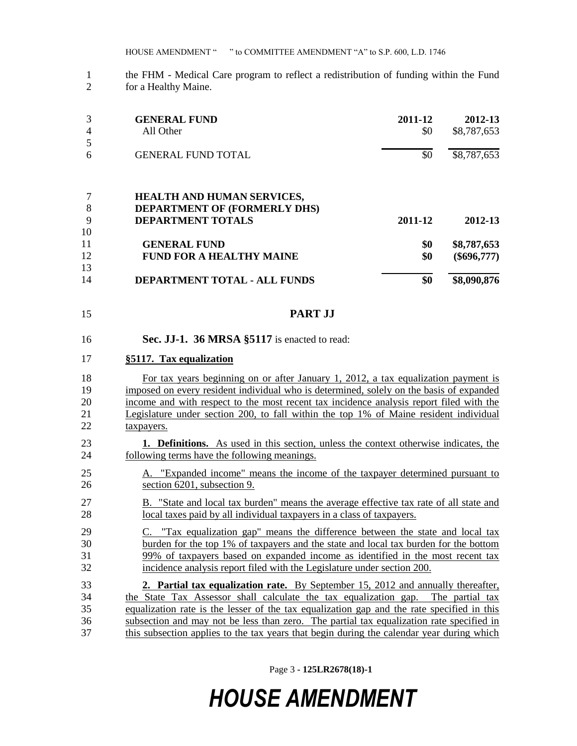HOUSE AMENDMENT " " to COMMITTEE AMENDMENT "A" to S.P. 600, L.D. 1746

 the FHM - Medical Care program to reflect a redistribution of funding within the Fund for a Healthy Maine.

| 3<br>4   | <b>GENERAL FUND</b><br>All Other                         | 2011-12<br>\$0 | 2012-13<br>\$8,787,653 |
|----------|----------------------------------------------------------|----------------|------------------------|
| 6        | <b>GENERAL FUND TOTAL</b>                                | \$0            | \$8,787,653            |
|          | <b>HEALTH AND HUMAN SERVICES,</b>                        |                |                        |
| 8<br>9   | DEPARTMENT OF (FORMERLY DHS)<br><b>DEPARTMENT TOTALS</b> | 2011-12        | 2012-13                |
| 10<br>11 | <b>GENERAL FUND</b>                                      | \$0            | \$8,787,653            |
| 12<br>13 | <b>FUND FOR A HEALTHY MAINE</b>                          | \$0            | $(\$696,777)$          |
| 14       | DEPARTMENT TOTAL - ALL FUNDS                             | \$0            | \$8,090,876            |

- **PART JJ**
- **Sec. JJ-1. 36 MRSA §5117** is enacted to read:

#### **§5117. Tax equalization**

 For tax years beginning on or after January 1, 2012, a tax equalization payment is imposed on every resident individual who is determined, solely on the basis of expanded income and with respect to the most recent tax incidence analysis report filed with the Legislature under section 200, to fall within the top 1% of Maine resident individual taxpayers.

- **1. Definitions.** As used in this section, unless the context otherwise indicates, the 24 following terms have the following meanings.
- A. "Expanded income" means the income of the taxpayer determined pursuant to section 6201, subsection 9.
- B. "State and local tax burden" means the average effective tax rate of all state and local taxes paid by all individual taxpayers in a class of taxpayers.
- C. "Tax equalization gap" means the difference between the state and local tax burden for the top 1% of taxpayers and the state and local tax burden for the bottom 99% of taxpayers based on expanded income as identified in the most recent tax incidence analysis report filed with the Legislature under section 200.
- **2. Partial tax equalization rate.** By September 15, 2012 and annually thereafter, the State Tax Assessor shall calculate the tax equalization gap. The partial tax equalization rate is the lesser of the tax equalization gap and the rate specified in this subsection and may not be less than zero. The partial tax equalization rate specified in this subsection applies to the tax years that begin during the calendar year during which

Page 3 **- 125LR2678(18)-1**